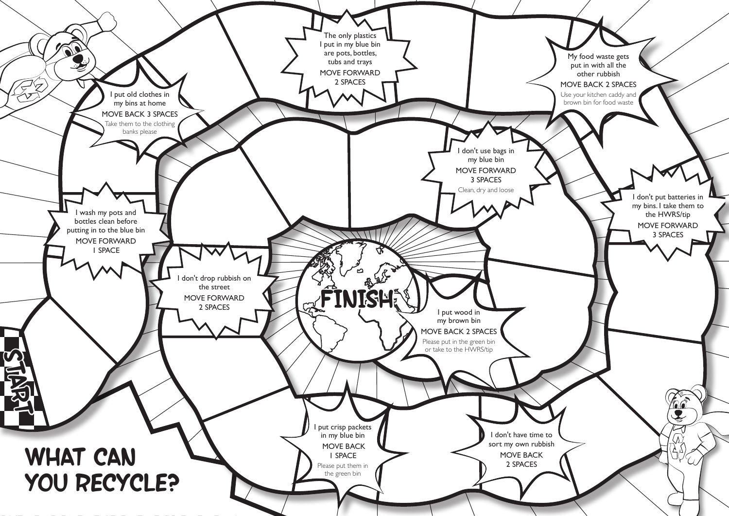